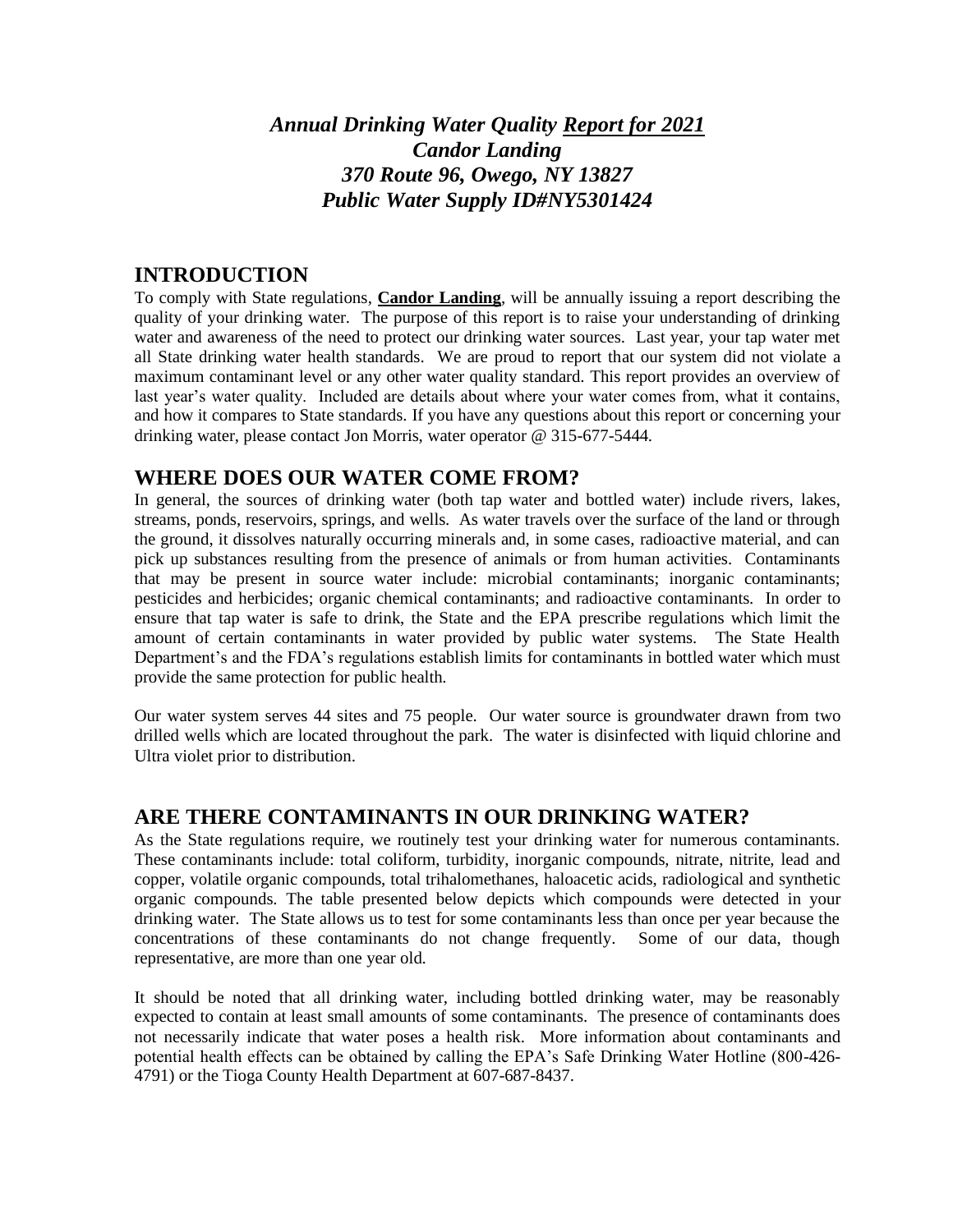# *Annual Drinking Water Quality Report for 2021 Candor Landing 370 Route 96, Owego, NY 13827 Public Water Supply ID#NY5301424*

#### **INTRODUCTION**

To comply with State regulations, **Candor Landing**, will be annually issuing a report describing the quality of your drinking water. The purpose of this report is to raise your understanding of drinking water and awareness of the need to protect our drinking water sources. Last year, your tap water met all State drinking water health standards. We are proud to report that our system did not violate a maximum contaminant level or any other water quality standard. This report provides an overview of last year's water quality. Included are details about where your water comes from, what it contains, and how it compares to State standards. If you have any questions about this report or concerning your drinking water, please contact Jon Morris, water operator @ 315-677-5444.

#### **WHERE DOES OUR WATER COME FROM?**

In general, the sources of drinking water (both tap water and bottled water) include rivers, lakes, streams, ponds, reservoirs, springs, and wells. As water travels over the surface of the land or through the ground, it dissolves naturally occurring minerals and, in some cases, radioactive material, and can pick up substances resulting from the presence of animals or from human activities. Contaminants that may be present in source water include: microbial contaminants; inorganic contaminants; pesticides and herbicides; organic chemical contaminants; and radioactive contaminants. In order to ensure that tap water is safe to drink, the State and the EPA prescribe regulations which limit the amount of certain contaminants in water provided by public water systems. The State Health Department's and the FDA's regulations establish limits for contaminants in bottled water which must provide the same protection for public health.

Our water system serves 44 sites and 75 people. Our water source is groundwater drawn from two drilled wells which are located throughout the park. The water is disinfected with liquid chlorine and Ultra violet prior to distribution.

#### **ARE THERE CONTAMINANTS IN OUR DRINKING WATER?**

As the State regulations require, we routinely test your drinking water for numerous contaminants. These contaminants include: total coliform, turbidity, inorganic compounds, nitrate, nitrite, lead and copper, volatile organic compounds, total trihalomethanes, haloacetic acids, radiological and synthetic organic compounds. The table presented below depicts which compounds were detected in your drinking water. The State allows us to test for some contaminants less than once per year because the concentrations of these contaminants do not change frequently. Some of our data, though representative, are more than one year old.

It should be noted that all drinking water, including bottled drinking water, may be reasonably expected to contain at least small amounts of some contaminants. The presence of contaminants does not necessarily indicate that water poses a health risk. More information about contaminants and potential health effects can be obtained by calling the EPA's Safe Drinking Water Hotline (800-426- 4791) or the Tioga County Health Department at 607-687-8437.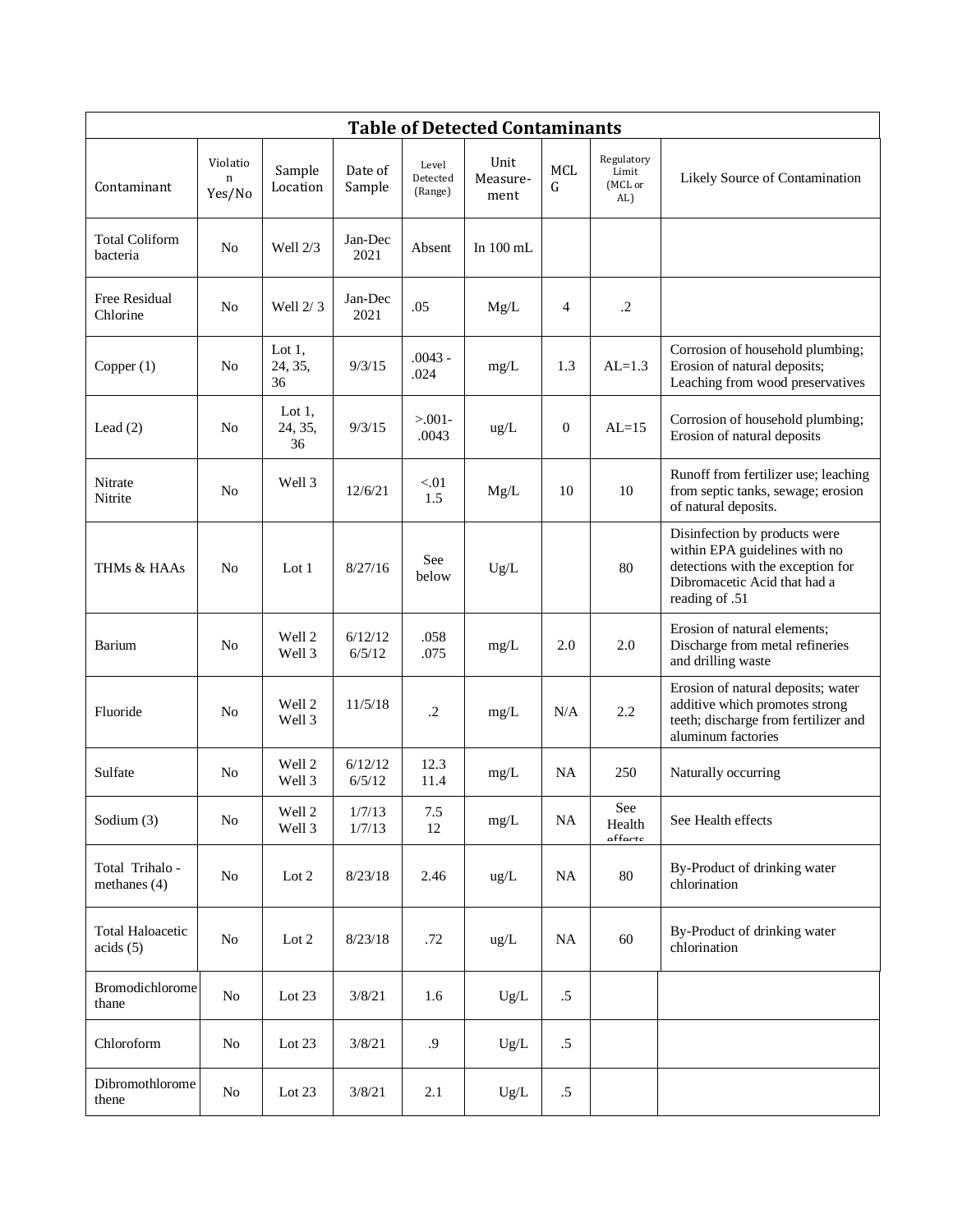| <b>Table of Detected Contaminants</b> |                                   |                            |                   |                              |                          |                  |                                       |                                                                                                                                                       |  |  |  |
|---------------------------------------|-----------------------------------|----------------------------|-------------------|------------------------------|--------------------------|------------------|---------------------------------------|-------------------------------------------------------------------------------------------------------------------------------------------------------|--|--|--|
| Contaminant                           | Violatio<br>$\mathbf n$<br>Yes/No | Sample<br>Location         | Date of<br>Sample | Level<br>Detected<br>(Range) | Unit<br>Measure-<br>ment | MCL<br>G         | Regulatory<br>Limit<br>(MCL or<br>AL) | Likely Source of Contamination                                                                                                                        |  |  |  |
| <b>Total Coliform</b><br>bacteria     | No                                | Well 2/3                   | Jan-Dec<br>2021   | Absent                       | In 100 mL                |                  |                                       |                                                                                                                                                       |  |  |  |
| Free Residual<br>Chlorine             | N <sub>o</sub>                    | Well $2/3$                 | Jan-Dec<br>2021   | .05                          | Mg/L                     | 4                | $\cdot$ .2                            |                                                                                                                                                       |  |  |  |
| Copper $(1)$                          | N <sub>o</sub>                    | Lot $1,$<br>24, 35,<br>36  | 9/3/15            | $.0043 -$<br>.024            | mg/L                     | 1.3              | $AL=1.3$                              | Corrosion of household plumbing;<br>Erosion of natural deposits;<br>Leaching from wood preservatives                                                  |  |  |  |
| Lead $(2)$                            | N <sub>o</sub>                    | Lot $1$ ,<br>24, 35,<br>36 | 9/3/15            | $> 0.001 -$<br>.0043         | ug/L                     | $\boldsymbol{0}$ | $AL=15$                               | Corrosion of household plumbing;<br>Erosion of natural deposits                                                                                       |  |  |  |
| Nitrate<br>Nitrite                    | No                                | Well 3                     | 12/6/21           | < 01<br>1.5                  | Mg/L                     | 10               | 10                                    | Runoff from fertilizer use; leaching<br>from septic tanks, sewage; erosion<br>of natural deposits.                                                    |  |  |  |
| THMs & HAAs                           | N <sub>0</sub>                    | Lot $1$                    | 8/27/16           | See<br>below                 | Ug/L                     |                  | 80                                    | Disinfection by products were<br>within EPA guidelines with no<br>detections with the exception for<br>Dibromacetic Acid that had a<br>reading of .51 |  |  |  |
| <b>Barium</b>                         | N <sub>o</sub>                    | Well 2<br>Well 3           | 6/12/12<br>6/5/12 | .058<br>.075                 | mg/L                     | 2.0              | 2.0                                   | Erosion of natural elements;<br>Discharge from metal refineries<br>and drilling waste                                                                 |  |  |  |
| Fluoride                              | N <sub>o</sub>                    | Well 2<br>Well 3           | 11/5/18           | $\cdot$ .2                   | mg/L                     | N/A              | 2.2                                   | Erosion of natural deposits; water<br>additive which promotes strong<br>teeth; discharge from fertilizer and<br>aluminum factories                    |  |  |  |
| Sulfate                               | N <sub>o</sub>                    | Well 2<br>Well 3           | 6/12/12<br>6/5/12 | 12.3<br>11.4                 | mg/L                     | <b>NA</b>        | 250                                   | Naturally occurring                                                                                                                                   |  |  |  |
| Sodium (3)                            | $\rm No$                          | Well 2<br>Well 3           | 1/7/13<br>1/7/13  | 7.5<br>12                    | mg/L                     | $\rm NA$         | See<br>Health<br>affante              | See Health effects                                                                                                                                    |  |  |  |
| Total Trihalo -<br>methanes $(4)$     | No                                | Lot 2                      | 8/23/18           | 2.46                         | $\text{ug/L}$            | <b>NA</b>        | 80                                    | By-Product of drinking water<br>chlorination                                                                                                          |  |  |  |
| <b>Total Haloacetic</b><br>acids(5)   | No                                | Lot 2                      | 8/23/18           | .72                          | $\text{ug/L}$            | <b>NA</b>        | 60                                    | By-Product of drinking water<br>chlorination                                                                                                          |  |  |  |
| Bromodichlorome<br>thane              | $\rm No$                          | Lot 23                     | 3/8/21            | 1.6                          | Ug/L                     | $.5\,$           |                                       |                                                                                                                                                       |  |  |  |
| Chloroform                            | No                                | Lot 23                     | 3/8/21            | .9                           | Ug/L                     | $.5\,$           |                                       |                                                                                                                                                       |  |  |  |
| Dibromothlorome<br>thene              | $\rm No$                          | Lot 23                     | 3/8/21            | 2.1                          | $Ug/L$                   | $.5\,$           |                                       |                                                                                                                                                       |  |  |  |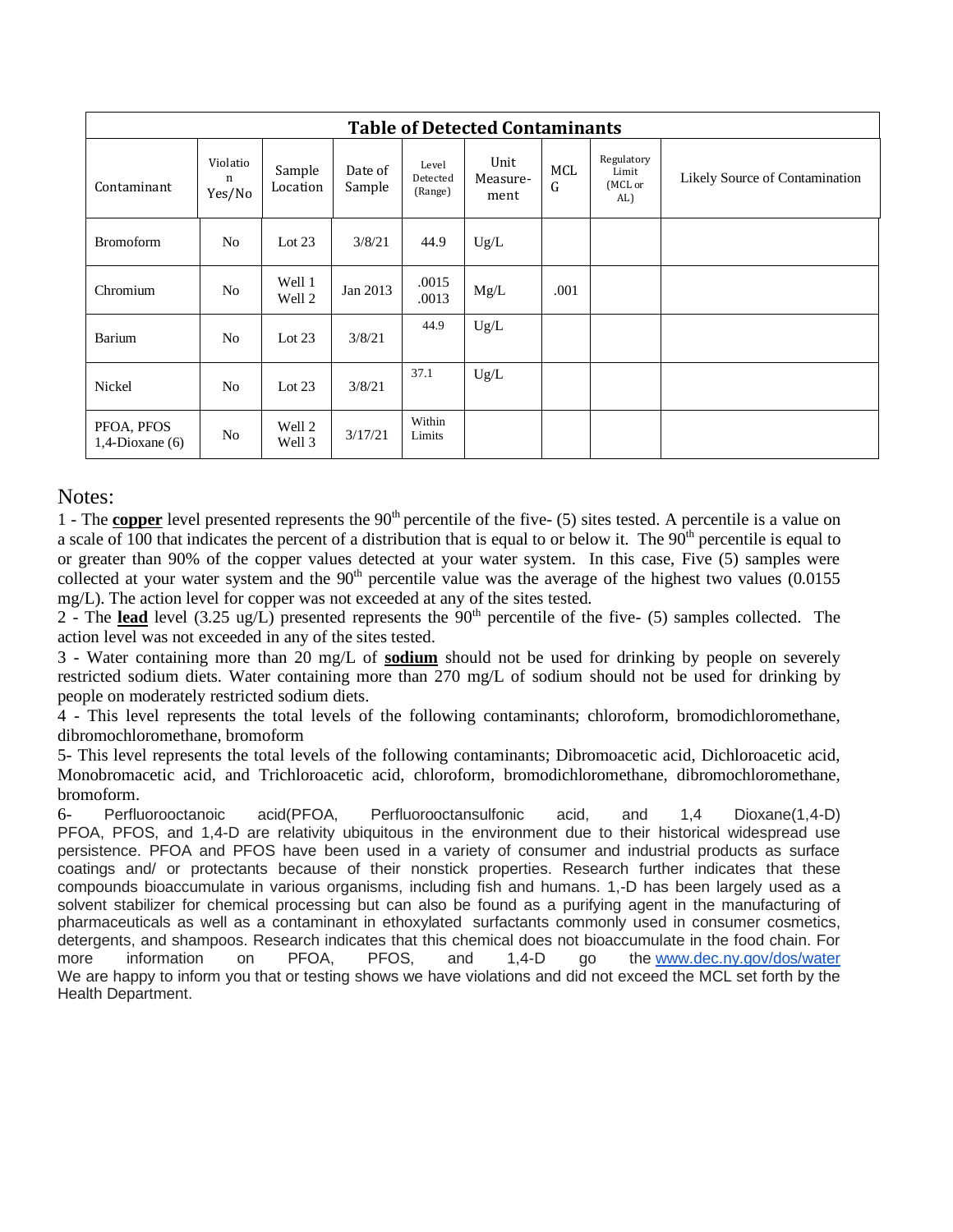| <b>Table of Detected Contaminants</b> |                         |                    |                   |                              |                          |                 |                                       |                                |  |  |  |
|---------------------------------------|-------------------------|--------------------|-------------------|------------------------------|--------------------------|-----------------|---------------------------------------|--------------------------------|--|--|--|
| Contaminant                           | Violatio<br>n<br>Yes/No | Sample<br>Location | Date of<br>Sample | Level<br>Detected<br>(Range) | Unit<br>Measure-<br>ment | <b>MCL</b><br>G | Regulatory<br>Limit<br>(MCL or<br>AL) | Likely Source of Contamination |  |  |  |
| <b>Bromoform</b>                      | N <sub>o</sub>          | Lot $23$           | 3/8/21            | 44.9                         | Ug/L                     |                 |                                       |                                |  |  |  |
| Chromium                              | N <sub>o</sub>          | Well 1<br>Well 2   | Jan 2013          | .0015<br>.0013               | Mg/L                     | .001            |                                       |                                |  |  |  |
| <b>Barium</b>                         | N <sub>o</sub>          | Lot $23$           | 3/8/21            | 44.9                         | Ug/L                     |                 |                                       |                                |  |  |  |
| Nickel                                | N <sub>o</sub>          | Lot $23$           | 3/8/21            | 37.1                         | Ug/L                     |                 |                                       |                                |  |  |  |
| PFOA, PFOS<br>$1,4$ -Dioxane (6)      | No                      | Well 2<br>Well 3   | 3/17/21           | Within<br>Limits             |                          |                 |                                       |                                |  |  |  |

#### Notes:

1 - The **copper** level presented represents the 90<sup>th</sup> percentile of the five- (5) sites tested. A percentile is a value on a scale of 100 that indicates the percent of a distribution that is equal to or below it. The  $90<sup>th</sup>$  percentile is equal to or greater than 90% of the copper values detected at your water system. In this case, Five (5) samples were collected at your water system and the  $90<sup>th</sup>$  percentile value was the average of the highest two values (0.0155 mg/L). The action level for copper was not exceeded at any of the sites tested.

2 - The **lead** level (3.25 ug/L) presented represents the 90<sup>th</sup> percentile of the five- (5) samples collected. The action level was not exceeded in any of the sites tested.

3 - Water containing more than 20 mg/L of **sodium** should not be used for drinking by people on severely restricted sodium diets. Water containing more than 270 mg/L of sodium should not be used for drinking by people on moderately restricted sodium diets.

4 - This level represents the total levels of the following contaminants; chloroform, bromodichloromethane, dibromochloromethane, bromoform

5- This level represents the total levels of the following contaminants; Dibromoacetic acid, Dichloroacetic acid, Monobromacetic acid, and Trichloroacetic acid, chloroform, bromodichloromethane, dibromochloromethane, bromoform.

6- Perfluorooctanoic acid(PFOA, Perfluorooctansulfonic acid, and 1,4 Dioxane(1,4-D) PFOA, PFOS, and 1,4-D are relativity ubiquitous in the environment due to their historical widespread use persistence. PFOA and PFOS have been used in a variety of consumer and industrial products as surface coatings and/ or protectants because of their nonstick properties. Research further indicates that these compounds bioaccumulate in various organisms, including fish and humans. 1,-D has been largely used as a solvent stabilizer for chemical processing but can also be found as a purifying agent in the manufacturing of pharmaceuticals as well as a contaminant in ethoxylated surfactants commonly used in consumer cosmetics, detergents, and shampoos. Research indicates that this chemical does not bioaccumulate in the food chain. For more information on PFOA, PFOS, and 1,4-D go the [www.dec.ny.gov/dos/water](http://www.dec.ny.gov/dos/water) We are happy to inform you that or testing shows we have violations and did not exceed the MCL set forth by the Health Department.